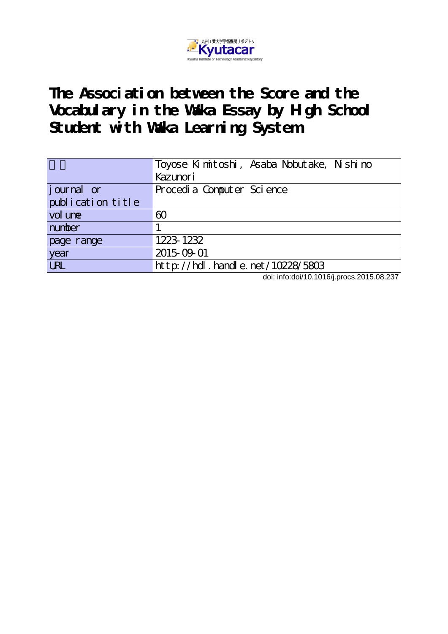

**The Association between the Score and the Vocabulary in the Waka Essay by High School Student with Waka Learning System**

|                   | Toyose Kimitoshi, Asaba Nobutake, Nishino |
|-------------------|-------------------------------------------|
|                   | Kazunori                                  |
| journal or        | Procedia Computer Science                 |
| publication title |                                           |
| vol une           | 60                                        |
| number            |                                           |
| page range        | 1223-1232                                 |
| year              | 2015-09-01                                |
| <b>URL</b>        | http://hdl.handle.net/10228/5803          |

doi: info:doi/10.1016/j.procs.2015.08.237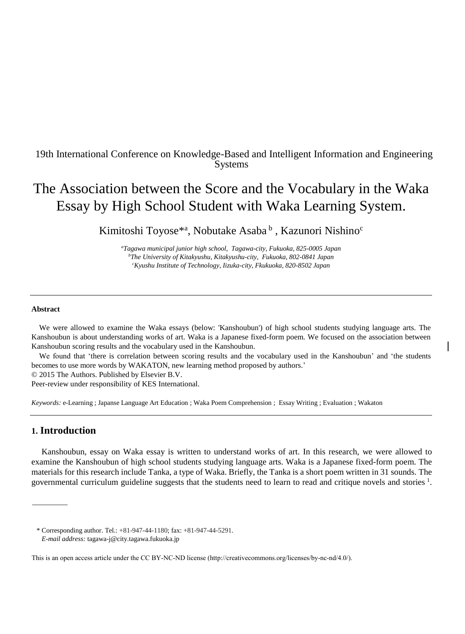# 19th International Conference on Knowledge-Based and Intelligent Information and Engineering Systems

# The Association between the Score and the Vocabulary in the Waka Essay by High School Student with Waka Learning System.

Kimitoshi Toyose<sup>\*a</sup>, Nobutake Asaba<sup>b</sup>, Kazunori Nishino<sup>c</sup>

*<sup>a</sup>Tagawa municipal junior high school, Tagawa-city, Fukuoka, 825-0005 Japan <sup>b</sup>The University of Kitakyushu, Kitakyushu-city, Fukuoka, 802-0841 Japan <sup>c</sup>Kyushu Institute of Technology, Iizuka-city, Fkukuoka, 820-8502 Japan*

#### **Abstract**

We were allowed to examine the Waka essays (below: 'Kanshoubun') of high school students studying language arts. The Kanshoubun is about understanding works of art. Waka is a Japanese fixed-form poem. We focused on the association between Kanshoubun scoring results and the vocabulary used in the Kanshoubun.

We found that 'there is correlation between scoring results and the vocabulary used in the Kanshoubun' and 'the students becomes to use more words by WAKATON, new learning method proposed by authors.'

© 2015 The Authors. Published by Elsevier B.V.

Peer-review under responsibility of KES International.

*Keywords:* e-Learning ; Japanse Language Art Education ; Waka Poem Comprehension ; Essay Writing ; Evaluation ; Wakaton

# **1. Introduction**

Kanshoubun, essay on Waka essay is written to understand works of art. In this research, we were allowed to examine the Kanshoubun of high school students studying language arts. Waka is a Japanese fixed-form poem. The materials for this research include Tanka, a type of Waka. Briefly, the Tanka is a short poem written in 31 sounds. The governmental curriculum guideline suggests that the students need to learn to read and critique novels and stories <sup>1</sup>.

<sup>\*</sup> Corresponding author. Tel.: +81-947-44-1180; fax: +81-947-44-5291. *E-mail address:* tagawa-j@city.tagawa.fukuoka.jp

This is an open access article under the CC BY-NC-ND license (http://creativecommons.org/licenses/by-nc-nd/4.0/).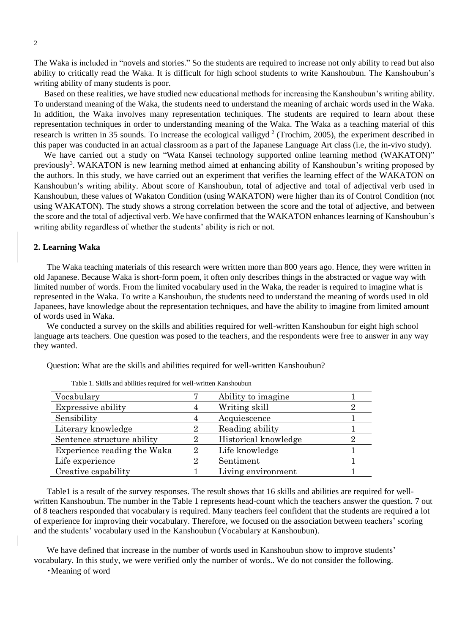The Waka is included in "novels and stories." So the students are required to increase not only ability to read but also ability to critically read the Waka. It is difficult for high school students to write Kanshoubun. The Kanshoubun's writing ability of many students is poor.

Based on these realities, we have studied new educational methods for increasing the Kanshoubun's writing ability. To understand meaning of the Waka, the students need to understand the meaning of archaic words used in the Waka. In addition, the Waka involves many representation techniques. The students are required to learn about these representation techniques in order to understanding meaning of the Waka. The Waka as a teaching material of this research is written in 35 sounds. To increase the ecological vailigy  $d^2$  (Trochim, 2005), the experiment described in this paper was conducted in an actual classroom as a part of the Japanese Language Art class (i.e, the in-vivo study).

We have carried out a study on "Wata Kansei technology supported online learning method (WAKATON)" previously<sup>3</sup>. WAKATON is new learning method aimed at enhancing ability of Kanshoubun's writing proposed by the authors. In this study, we have carried out an experiment that verifies the learning effect of the WAKATON on Kanshoubun's writing ability. About score of Kanshoubun, total of adjective and total of adjectival verb used in Kanshoubun, these values of Wakaton Condition (using WAKATON) were higher than its of Control Condition (not using WAKATON). The study shows a strong correlation between the score and the total of adjective, and between the score and the total of adjectival verb. We have confirmed that the WAKATON enhances learning of Kanshoubun's writing ability regardless of whether the students' ability is rich or not.

#### **2. Learning Waka**

The Waka teaching materials of this research were written more than 800 years ago. Hence, they were written in old Japanese. Because Waka is short-form poem, it often only describes things in the abstracted or vague way with limited number of words. From the limited vocabulary used in the Waka, the reader is required to imagine what is represented in the Waka. To write a Kanshoubun, the students need to understand the meaning of words used in old Japanees, have knowledge about the representation techniques, and have the ability to imagine from limited amount of words used in Waka.

We conducted a survey on the skills and abilities required for well-written Kanshoubun for eight high school language arts teachers. One question was posed to the teachers, and the respondents were free to answer in any way they wanted.

| Table 1. DRILLS and abilities required for well written Kanshouban |   |                      |  |  |  |
|--------------------------------------------------------------------|---|----------------------|--|--|--|
| Vocabulary                                                         |   | Ability to imagine.  |  |  |  |
| Expressive ability                                                 |   | Writing skill        |  |  |  |
| Sensibility                                                        | 4 | Acquiescence         |  |  |  |
| Literary knowledge                                                 | 2 | Reading ability      |  |  |  |
| Sentence structure ability                                         |   | Historical knowledge |  |  |  |
| Experience reading the Waka                                        | 2 | Life knowledge       |  |  |  |
| Life experience                                                    |   | Sentiment            |  |  |  |
| Creative capability                                                |   | Living environment   |  |  |  |

Question: What are the skills and abilities required for well-written Kanshoubun?

Table1 is a result of the survey responses. The result shows that 16 skills and abilities are required for wellwritten Kanshoubun. The number in the Table 1 represents head-count which the teachers answer the question. 7 out of 8 teachers responded that vocabulary is required. Many teachers feel confident that the students are required a lot of experience for improving their vocabulary. Therefore, we focused on the association between teachers' scoring and the students' vocabulary used in the Kanshoubun (Vocabulary at Kanshoubun).

Table 1. Skills and abilities required for well-written Kanshoubun

We have defined that increase in the number of words used in Kanshoubun show to improve students' vocabulary. In this study, we were verified only the number of words.. We do not consider the following.

・Meaning of word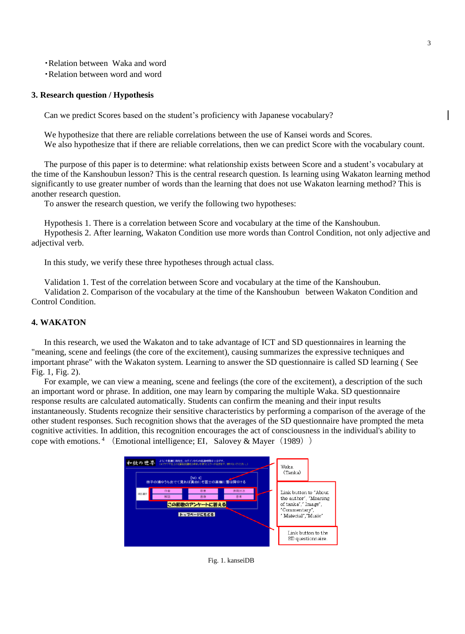・Relation between Waka and word

・Relation between word and word

## **3. Research question / Hypothesis**

Can we predict Scores based on the student's proficiency with Japanese vocabulary?

We hypothesize that there are reliable correlations between the use of Kansei words and Scores. We also hypothesize that if there are reliable correlations, then we can predict Score with the vocabulary count.

The purpose of this paper is to determine: what relationship exists between Score and a student's vocabulary at the time of the Kanshoubun lesson? This is the central research question. Is learning using Wakaton learning method significantly to use greater number of words than the learning that does not use Wakaton learning method? This is another research question.

To answer the research question, we verify the following two hypotheses:

Hypothesis 1. There is a correlation between Score and vocabulary at the time of the Kanshoubun. Hypothesis 2. After learning, Wakaton Condition use more words than Control Condition, not only adjective and adjectival verb.

In this study, we verify these three hypotheses through actual class.

Validation 1. Test of the correlation between Score and vocabulary at the time of the Kanshoubun.

Validation 2. Comparison of the vocabulary at the time of the Kanshoubun between Wakaton Condition and Control Condition.

# **4. WAKATON**

In this research, we used the Wakaton and to take advantage of ICT and SD questionnaires in learning the "meaning, scene and feelings (the core of the excitement), causing summarizes the expressive techniques and important phrase" with the Wakaton system. Learning to answer the SD questionnaire is called SD learning ( See Fig. 1, Fig. 2).

For example, we can view a meaning, scene and feelings (the core of the excitement), a description of the such an important word or phrase. In addition, one may learn by comparing the multiple Waka. SD questionnaire response results are calculated automatically. Students can confirm the meaning and their input results instantaneously. Students recognize their sensitive characteristics by performing a comparison of the average of the other student responses. Such recognition shows that the averages of the SD questionnaire have prompted the meta cognitive activities. In addition, this recognition encourages the act of consciousness in the individual's ability to cope with emotions.  $4 \cdot$  (Emotional intelligence; EI, Salovey & Mayer (1989))



Fig. 1. kanseiDB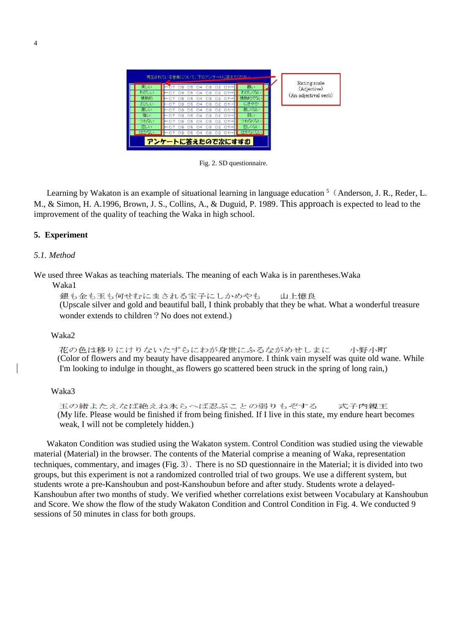

Fig. 2. SD questionnaire.

Learning by Wakaton is an example of situational learning in language education <sup>5</sup> (Anderson, J. R., Reder, L. M., & Simon, H. A.1996, Brown, J. S., Collins, A., & Duguid, P. 1989. This approach is expected to lead to the improvement of the quality of teaching the Waka in high school.

## **5. Experiment**

## *5.1. Method*

We used three Wakas as teaching materials. The meaning of each Waka is in parentheses.Waka

Waka1

銀も金も玉も何せむにまされる宝子にしかめやも 山上憶良 (Upscale silver and gold and beautiful ball, I think probably that they be what. What a wonderful treasure wonder extends to children? No does not extend.)

#### Waka2

花の色は移りにけりないたずらにわが身世にふるながめせしまに 小野小町 (Color of flowers and my beauty have disappeared anymore. I think vain myself was quite old wane. While I'm looking to indulge in thought, as flowers go scattered been struck in the spring of long rain,)

#### Waka3

玉の緒よたえなば絶えね永らへば忍ぶことの弱りもぞする 式子内親王 (My life. Please would be finished if from being finished. If I live in this state, my endure heart becomes weak, I will not be completely hidden.)

Wakaton Condition was studied using the Wakaton system. Control Condition was studied using the viewable material (Material) in the browser. The contents of the Material comprise a meaning of Waka, representation techniques, commentary, and images (Fig. 3). There is no SD questionnaire in the Material; it is divided into two groups, but this experiment is not a randomized controlled trial of two groups. We use a different system, but students wrote a pre-Kanshoubun and post-Kanshoubun before and after study. Students wrote a delayed-Kanshoubun after two months of study. We verified whether correlations exist between Vocabulary at Kanshoubun and Score. We show the flow of the study Wakaton Condition and Control Condition in Fig. 4. We conducted 9 sessions of 50 minutes in class for both groups.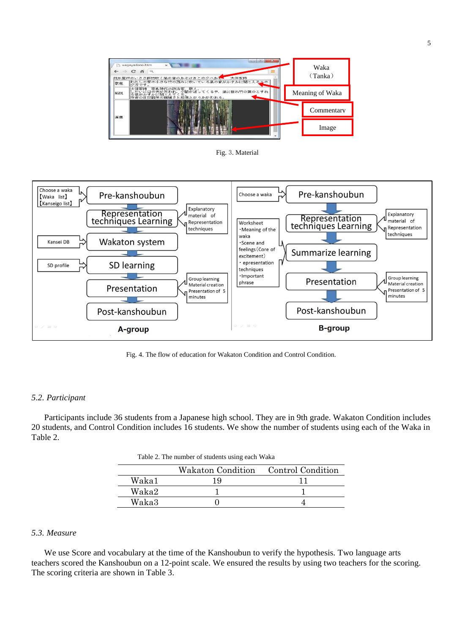

Fig. 3. Material



Fig. 4. The flow of education for Wakaton Condition and Control Condition.

#### *5.2. Participant*

Participants include 36 students from a Japanese high school. They are in 9th grade. Wakaton Condition includes 20 students, and Control Condition includes 16 students. We show the number of students using each of the Waka in Table 2.

| Table 2. The number of students using each Waka |  |  |
|-------------------------------------------------|--|--|
|                                                 |  |  |

|       | Wakaton Condition | <b>Control Condition</b> |
|-------|-------------------|--------------------------|
| Waka1 | ιq                |                          |
| Waka2 |                   |                          |
| Waka3 |                   |                          |

#### *5.3. Measure*

We use Score and vocabulary at the time of the Kanshoubun to verify the hypothesis. Two language arts teachers scored the Kanshoubun on a 12-point scale. We ensured the results by using two teachers for the scoring. The scoring criteria are shown in Table 3.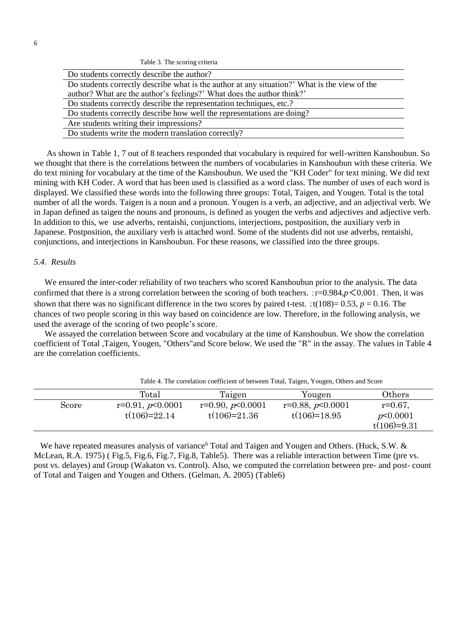| Table 3. The scoring criteria |  |  |  |  |
|-------------------------------|--|--|--|--|
|-------------------------------|--|--|--|--|

| Do students correctly describe the author?                                                   |
|----------------------------------------------------------------------------------------------|
| Do students correctly describe what is the author at any situation?' What is the view of the |
| author? What are the author's feelings?' What does the author think?'                        |
| Do students correctly describe the representation techniques, etc.?                          |
| Do students correctly describe how well the representations are doing?                       |
| Are students writing their impressions?                                                      |
| Do students write the modern translation correctly?                                          |
|                                                                                              |

As shown in Table 1, 7 out of 8 teachers responded that vocabulary is required for well-written Kanshoubun. So we thought that there is the correlations between the numbers of vocabularies in Kanshoubun with these criteria. We do text mining for vocabulary at the time of the Kanshoubun. We used the "KH Coder" for text mining. We did text mining with KH Coder. A word that has been used is classified as a word class. The number of uses of each word is displayed. We classified these words into the following three groups: Total, Taigen, and Yougen. Total is the total number of all the words. Taigen is a noun and a pronoun. Yougen is a verb, an adjective, and an adjectival verb. We in Japan defined as taigen the nouns and pronouns, is defined as yougen the verbs and adjectives and adjective verb. In addition to this, we use adverbs, rentaishi, conjunctions, interjections, postposition, the auxiliary verb in Japanese. Postposition, the auxiliary verb is attached word. Some of the students did not use adverbs, rentaishi, conjunctions, and interjections in Kanshoubun. For these reasons, we classified into the three groups.

# *5.4. Results*

 We ensured the inter-coder reliability of two teachers who scored Kanshoubun prior to the analysis. The data confirmed that there is a strong correlation between the scoring of both teachers.  $:=0.984,p<0.001$ . Then, it was shown that there was no significant difference in the two scores by paired t-test. ;t( $108$ )= 0.53, *p* = 0.16. The chances of two people scoring in this way based on coincidence are low. Therefore, in the following analysis, we used the average of the scoring of two people's score.

 We assayed the correlation between Score and vocabulary at the time of Kanshoubun. We show the correlation coefficient of Total ,Taigen, Yougen, "Others"and Score below. We used the "R" in the assay. The values in Table 4 are the correlation coefficients.

|       | Table 4. The correlation coefficient of between Total, Taigen, Yougen, Others and Score |                                      |                                      |                                           |  |
|-------|-----------------------------------------------------------------------------------------|--------------------------------------|--------------------------------------|-------------------------------------------|--|
|       | Total                                                                                   | Taigen                               | Yougen                               | Others                                    |  |
| Score | $r=0.91, p<0.0001$<br>$t(106)=22.14$                                                    | $r=0.90, p<0.0001$<br>$t(106)=21.36$ | $r=0.88, p<0.0001$<br>$t(106)=18.95$ | $r = 0.67$ ,<br>p<0.0001<br>$t(106)=9.31$ |  |

Table 4. The correlation coefficient of between Total, Taigen, Yougen, Others and Score

We have repeated measures analysis of variance<sup>6</sup> Total and Taigen and Yougen and Others. (Huck, S.W. & McLean, R.A. 1975) ( Fig.5, Fig.6, Fig.7, Fig.8, Table5). There was a reliable interaction between Time (pre vs. post vs. delayes) and Group (Wakaton vs. Control). Also, we computed the correlation between pre- and post- count of Total and Taigen and Yougen and Others. (Gelman, A. 2005) (Table6)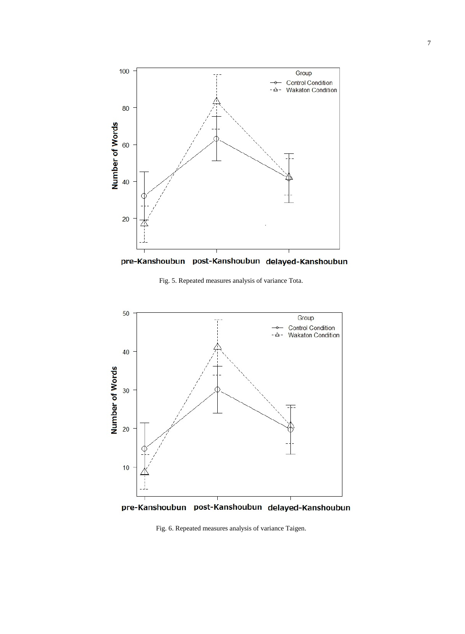

pre-Kanshoubun post-Kanshoubun delayed-Kanshoubun

Fig. 5. Repeated measures analysis of variance Tota.



pre-Kanshoubun post-Kanshoubun delayed-Kanshoubun

Fig. 6. Repeated measures analysis of variance Taigen.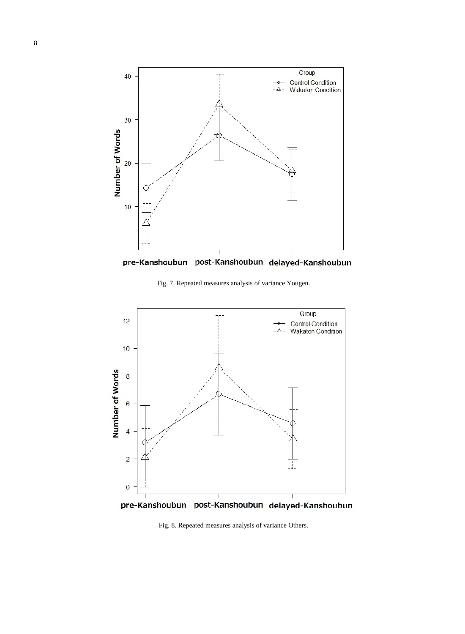

pre-Kanshoubun post-Kanshoubun delayed-Kanshoubun

Fig. 7. Repeated measures analysis of variance Yougen.



pre-Kanshoubun post-Kanshoubun delayed-Kanshoubun

Fig. 8. Repeated measures analysis of variance Others.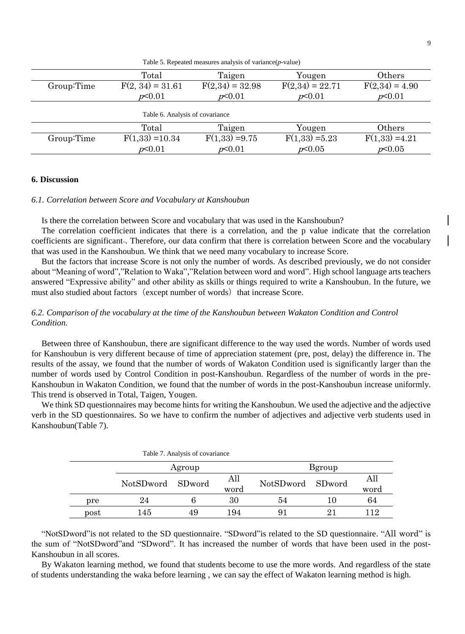|                                 | Total              | Taigen            | Yougen            | Others           |  |  |
|---------------------------------|--------------------|-------------------|-------------------|------------------|--|--|
| Group:Time                      | $F(2, 34) = 31.61$ | $F(2,34) = 32.98$ | $F(2,34) = 22.71$ | $F(2,34) = 4.90$ |  |  |
|                                 | p<0.01             | p<0.01            | p<0.01            | p<0.01           |  |  |
| Table 6. Analysis of covariance |                    |                   |                   |                  |  |  |
|                                 | Total              | Taigen            | Yougen            | Others           |  |  |
| Group:Time                      | $F(1,33) = 10.34$  | $F(1,33) = 9.75$  | $F(1,33) = 5.23$  | $F(1,33) = 4.21$ |  |  |
|                                 | p<0.01             | p<0.01            | p<0.05            | p<0.05           |  |  |

Table 5. Repeated measures analysis of variance(*p*-value)

## **6. Discussion**

#### *6.1. Correlation between Score and Vocabulary at Kanshoubun*

Is there the correlation between Score and vocabulary that was used in the Kanshoubun?

The correlation coefficient indicates that there is a correlation, and the p value indicate that the correlation coefficients are significant-. Therefore, our data confirm that there is correlation between Score and the vocabulary that was used in the Kanshoubun. We think that we need many vocabulary to increase Score.

But the factors that increase Score is not only the number of words. As described previously, we do not consider about "Meaning of word","Relation to Waka","Relation between word and word". High school language arts teachers answered "Expressive ability" and other ability as skills or things required to write a Kanshoubun. In the future, we must also studied about factors (except number of words) that increase Score.

# *6.2. Comparison of the vocabulary at the time of the Kanshoubun between Wakaton Condition and Control Condition.*

Between three of Kanshoubun, there are significant difference to the way used the words. Number of words used for Kanshoubun is very different because of time of appreciation statement (pre, post, delay) the difference in. The results of the assay, we found that the number of words of Wakaton Condition used is significantly larger than the number of words used by Control Condition in post-Kanshoubun. Regardless of the number of words in the pre-Kanshoubun in Wakaton Condition, we found that the number of words in the post-Kanshoubun increase uniformly. This trend is observed in Total, Taigen, Yougen.

We think SD questionnaires may become hints for writing the Kanshoubun. We used the adjective and the adjective verb in the SD questionnaires. So we have to confirm the number of adjectives and adjective verb students used in Kanshoubun(Table 7).

|      |                  | Table 7. Analysis of covariance |             |                  |        |             |
|------|------------------|---------------------------------|-------------|------------------|--------|-------------|
|      | Agroup           |                                 |             |                  | Bgroup |             |
|      | NotSDword SDword |                                 | All<br>word | NotSDword SDword |        | All<br>word |
| pre  | 24               |                                 | 30          | 54               | 10     | 64          |
| post | 145              | 49                              | 194         |                  | 21     | 112         |

"NotSDword"is not related to the SD questionnaire. "SDword"is related to the SD questionnaire. "All word" is the sum of "NotSDword"and "SDword". It has increased the number of words that have been used in the post-Kanshoubun in all scores.

By Wakaton learning method, we found that students become to use the more words. And regardless of the state of students understanding the waka before learning , we can say the effect of Wakaton learning method is high.